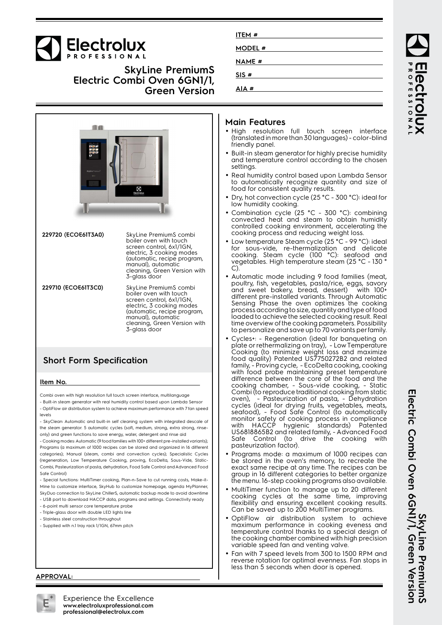

## **SkyLine PremiumS Electric Combi Oven 6GN1/1, Green Version**



## **Short Form Specification**

#### **Item No.**

Combi oven with high resolution full touch screen interface, multilanguage - Built-in steam generator with real humidity control based upon Lambda Sensor

- OptiFlow air distribution system to achieve maximum performance with 7 fan speed levels

- SkyClean: Automatic and built-in self cleaning system with integrated descale of the steam generator. 5 automatic cycles (soft, medium, strong, extra strong, rinseonly) and green functions to save energy, water, detergent and rinse aid

- Cooking modes: Automatic (9 food families with 100+ different pre-installed variants); Programs (a maximum of 1000 recipes can be stored and organized in 16 different categories); Manual (steam, combi and convection cycles); Specialistic Cycles (regeneration, Low Temperature Cooking, proving, EcoDelta, Sous-Vide, Static-Combi, Pasteurization of pasta, dehydration, Food Safe Control and Advanced Food Safe Control)

- Special functions: MultiTimer cooking, Plan-n-Save to cut running costs, Make-it-Mine to customize interface, SkyHub to customize homepage, agenda MyPlanner, SkyDuo connection to SkyLine ChillerS, automatic backup mode to avoid downtime

- USB port to download HACCP data, programs and settings. Connectivity ready
- 6-point multi sensor core temperature probe
- Triple-glass door with double LED lights line
- Stainless steel construction throughout

#### - Supplied with n.1 tray rack 1/1GN, 67mm pitch

| ITEM #         |
|----------------|
| <b>MODEL</b> # |
| <b>NAME</b> #  |
|                |
| SIS#           |
| AIA #          |

#### **Main Features**

- High resolution full touch screen interface (translated in more than 30 languages) - color-blind friendly panel.
- Built-in steam generator for highly precise humidity and temperature control according to the chosen settings.
- Real humidity control based upon Lambda Sensor to automatically recognize quantity and size of food for consistent quality results.
- • Dry, hot convection cycle (25 °C - 300 °C): ideal for low humidity cooking.
- •• Combination cycle (25 °C - 300 °C): combining convected heat and steam to obtain humidity controlled cooking environment, accelerating the cooking process and reducing weight loss.
- • Low temperature Steam cycle (25 °C - 99 °C): ideal for sous-vide, re-thermalization and delicate cooking. Steam cycle (100 °C): seafood and vegetables. High temperature steam (25 °C - 130 ° C).
- Automatic mode including 9 food families (meat, poultry, fish, vegetables, pasta/rice, eggs, savory and sweet bakery, bread, dessert) with 100+ different pre-installed variants. Through Automatic Sensing Phase the oven optimizes the cooking process according to size, quantity and type of food loaded to achieve the selected cooking result. Real time overview of the cooking parameters. Possibility to personalize and save up to 70 variants per family.
- • Cycles+: - Regeneration (ideal for banqueting on plate or rethermalizing on tray), - Low Temperature Cooking (to minimize weight loss and maximize food quality) Patented US7750272B2 and related family, - Proving cycle, - EcoDelta cooking, cooking with food probe maintaining preset temperature difference between the core of the food and the cooking chamber, - Sous-vide cooking, - Static Combi (to reproduce traditional cooking from static oven), - Pasteurization of pasta, - Dehydration cycles (ideal for drying fruits, vegetables, meats, seafood), - Food Safe Control (to automatically monitor safety of cooking process in compliance with HACCP hygienic standards) Patented US6818865B2 and related family, - Advanced Food Safe Control (to drive the cooking with pasteurization factor).
- • Programs mode: a maximum of 1000 recipes can be stored in the oven's memory, to recreate the exact same recipe at any time. The recipes can be group in 16 different categories to better organize the menu. 16-step cooking programs also available.
- MultiTimer function to manage up to 20 different cooking cycles at the same time, improving flexibility and ensuring excellent cooking results. Can be saved up to 200 MultiTimer programs.
- • OptiFlow air distribution system to achieve maximum performance in cooking eveness and temperature control thanks to a special design of the cooking chamber combined with high precision variable speed fan and venting valve.
- • Fan with 7 speed levels from 300 to 1500 RPM and reverse rotation for optimal evenness. Fan stops in less than 5 seconds when door is opened.

**SkyLine PremiumS**<br>Electric Combi Oven 6GNI/1, Green Version **Electric Combi Oven 6GN1/1, Green Version SkyLine PremiumS**

ROFESSIONA

#### **APPROVAL:**



Experience the Excellence **www.electroluxprofessional.com professional@electrolux.com**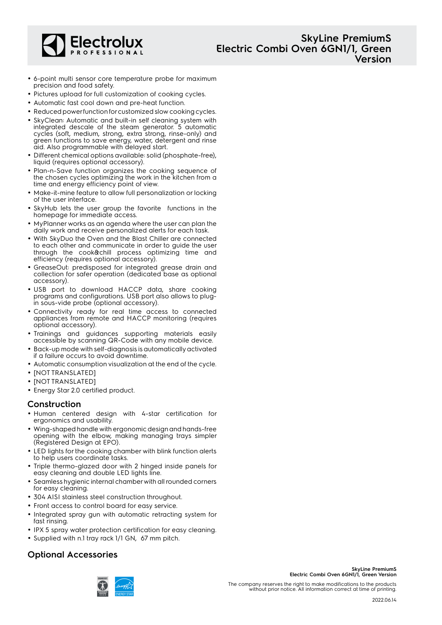

- 6-point multi sensor core temperature probe for maximum precision and food safety.
- Pictures upload for full customization of cooking cycles.
- Automatic fast cool down and pre-heat function.
- Reduced power function for customized slow cooking cycles.
- SkyClean: Automatic and built-in self cleaning system with integrated descale of the steam generator. 5 automatic cycles (soft, medium, strong, extra strong, rinse-only) and green functions to save energy, water, detergent and rinse aid. Also programmable with delayed start.
- Different chemical options available: solid (phosphate-free), liquid (requires optional accessory).
- Plan-n-Save function organizes the cooking sequence of the chosen cycles optimizing the work in the kitchen from a time and energy efficiency point of view.
- Make-it-mine feature to allow full personalization or locking of the user interface.
- • SkyHub lets the user group the favorite functions in the homepage for immediate access.
- MyPlanner works as an agenda where the user can plan the daily work and receive personalized alerts for each task.
- With SkyDuo the Oven and the Blast Chiller are connected to each other and communicate in order to guide the user through the cook&chill process optimizing time and efficiency (requires optional accessory).
- GreaseOut: predisposed for integrated grease drain and collection for safer operation (dedicated base as optional accessory).
- USB port to download HACCP data, share cooking programs and configurations. USB port also allows to plugin sous-vide probe (optional accessory).
- Connectivity ready for real time access to connected appliances from remote and HACCP monitoring (requires optional accessory).
- Trainings and guidances supporting materials easily accessible by scanning QR-Code with any mobile device.
- Back-up mode with self-diagnosis is automatically activated if a failure occurs to avoid downtime.
- Automatic consumption visualization at the end of the cycle.
- [NOT TRANSLATED]
- [NOT TRANSLATED]
- Energy Star 2.0 certified product.

#### **Construction**

- Human centered design with 4-star certification for ergonomics and usability.
- Wing-shaped handle with ergonomic design and hands-free opening with the elbow, making managing trays simpler (Registered Design at EPO).
- LED lights for the cooking chamber with blink function alerts to help users coordinate tasks.
- Triple thermo-glazed door with 2 hinged inside panels for easy cleaning and double LED lights line.
- Seamless hygienic internal chamber with all rounded corners for easy cleaning.
- 304 AISI stainless steel construction throughout.
- Front access to control board for easy service.
- Integrated spray gun with automatic retracting system for fast rinsing.
- IPX 5 spray water protection certification for easy cleaning.
- Supplied with n.1 tray rack 1/1 GN, 67 mm pitch.

## **Optional Accessories**